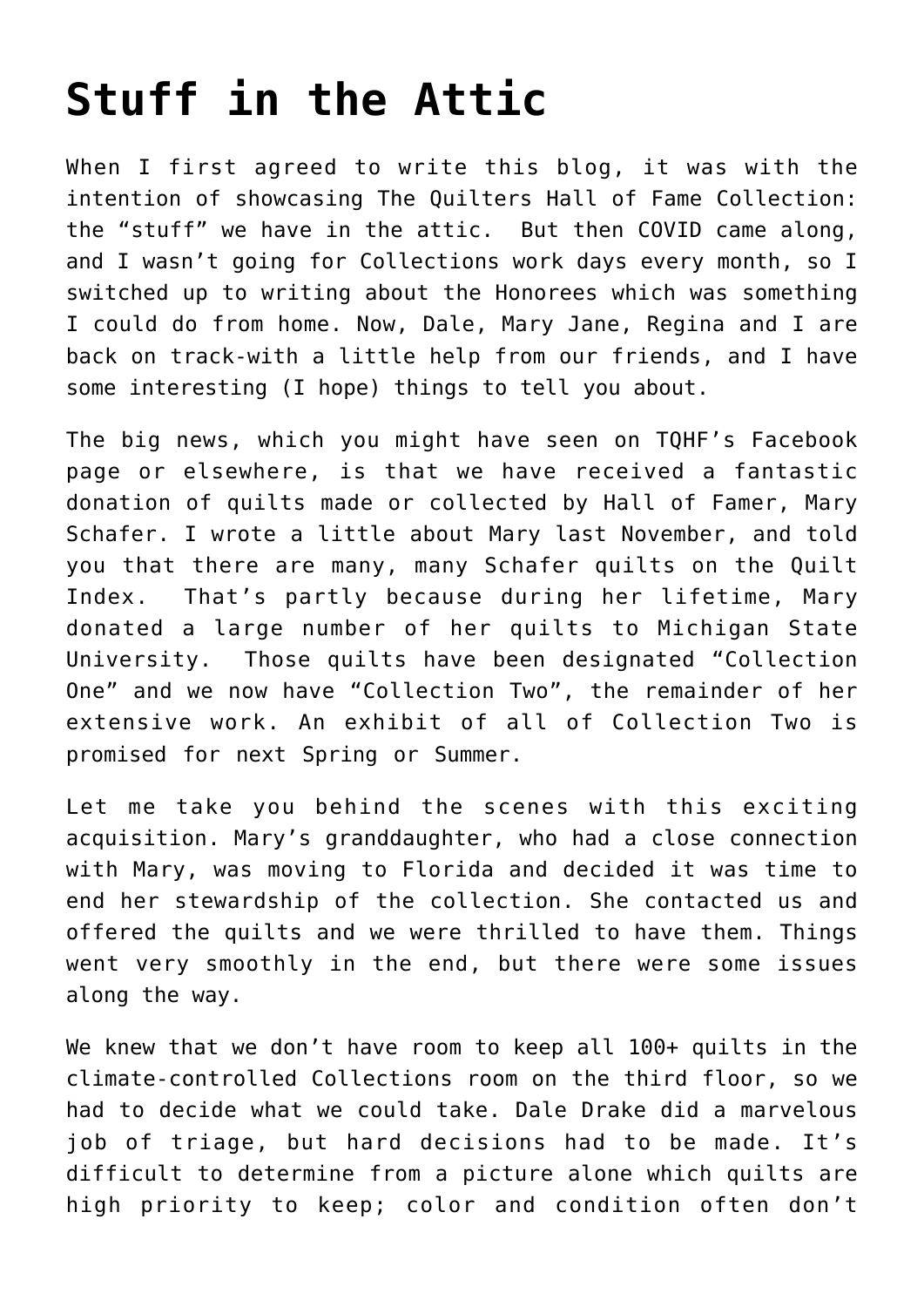## **[Stuff in the Attic](https://quiltershalloffame.net/stuff-in-the-attic/)**

When I first agreed to write this blog, it was with the intention of showcasing The Quilters Hall of Fame Collection: the "stuff" we have in the attic. But then COVID came along, and I wasn't going for Collections work days every month, so I switched up to writing about the Honorees which was something I could do from home. Now, Dale, Mary Jane, Regina and I are back on track-with a little help from our friends, and I have some interesting (I hope) things to tell you about.

The big news, which you might have seen on TQHF's Facebook page or elsewhere, is that we have received a fantastic donation of quilts made or collected by Hall of Famer, Mary Schafer. I wrote a little about Mary last November, and told you that there are many, many Schafer quilts on the Quilt Index. That's partly because during her lifetime, Mary donated a large number of her quilts to Michigan State University. Those quilts have been designated "Collection One" and we now have "Collection Two", the remainder of her extensive work. An exhibit of all of Collection Two is promised for next Spring or Summer.

Let me take you behind the scenes with this exciting acquisition. Mary's granddaughter, who had a close connection with Mary, was moving to Florida and decided it was time to end her stewardship of the collection. She contacted us and offered the quilts and we were thrilled to have them. Things went very smoothly in the end, but there were some issues along the way.

We knew that we don't have room to keep all 100+ quilts in the climate-controlled Collections room on the third floor, so we had to decide what we could take. Dale Drake did a marvelous job of triage, but hard decisions had to be made. It's difficult to determine from a picture alone which quilts are high priority to keep; color and condition often don't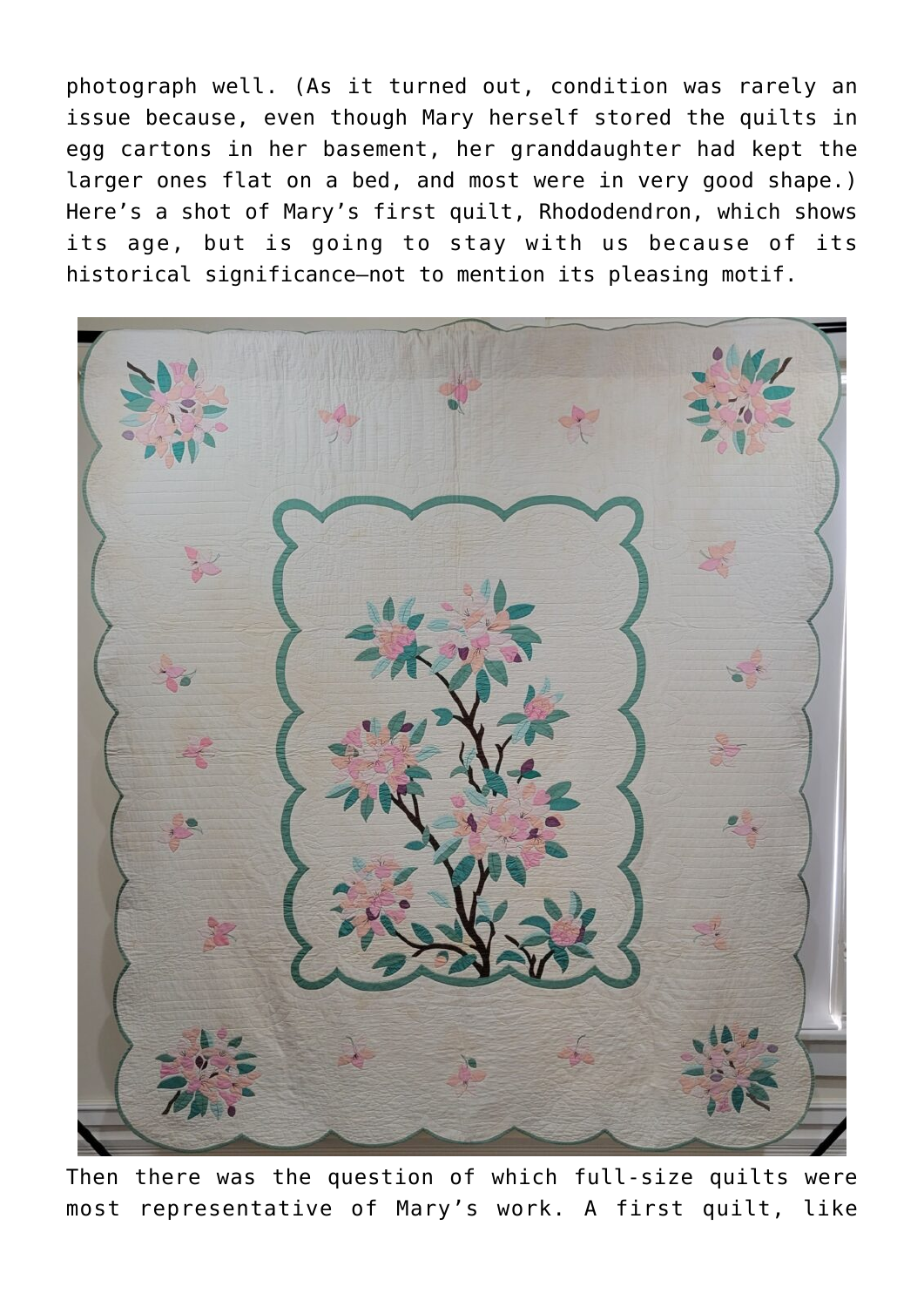photograph well. (As it turned out, condition was rarely an issue because, even though Mary herself stored the quilts in egg cartons in her basement, her granddaughter had kept the larger ones flat on a bed, and most were in very good shape.) Here's a shot of Mary's first quilt, Rhododendron, which shows its age, but is going to stay with us because of its historical significance—not to mention its pleasing motif.



Then there was the question of which full-size quilts were most representative of Mary's work. A first quilt, like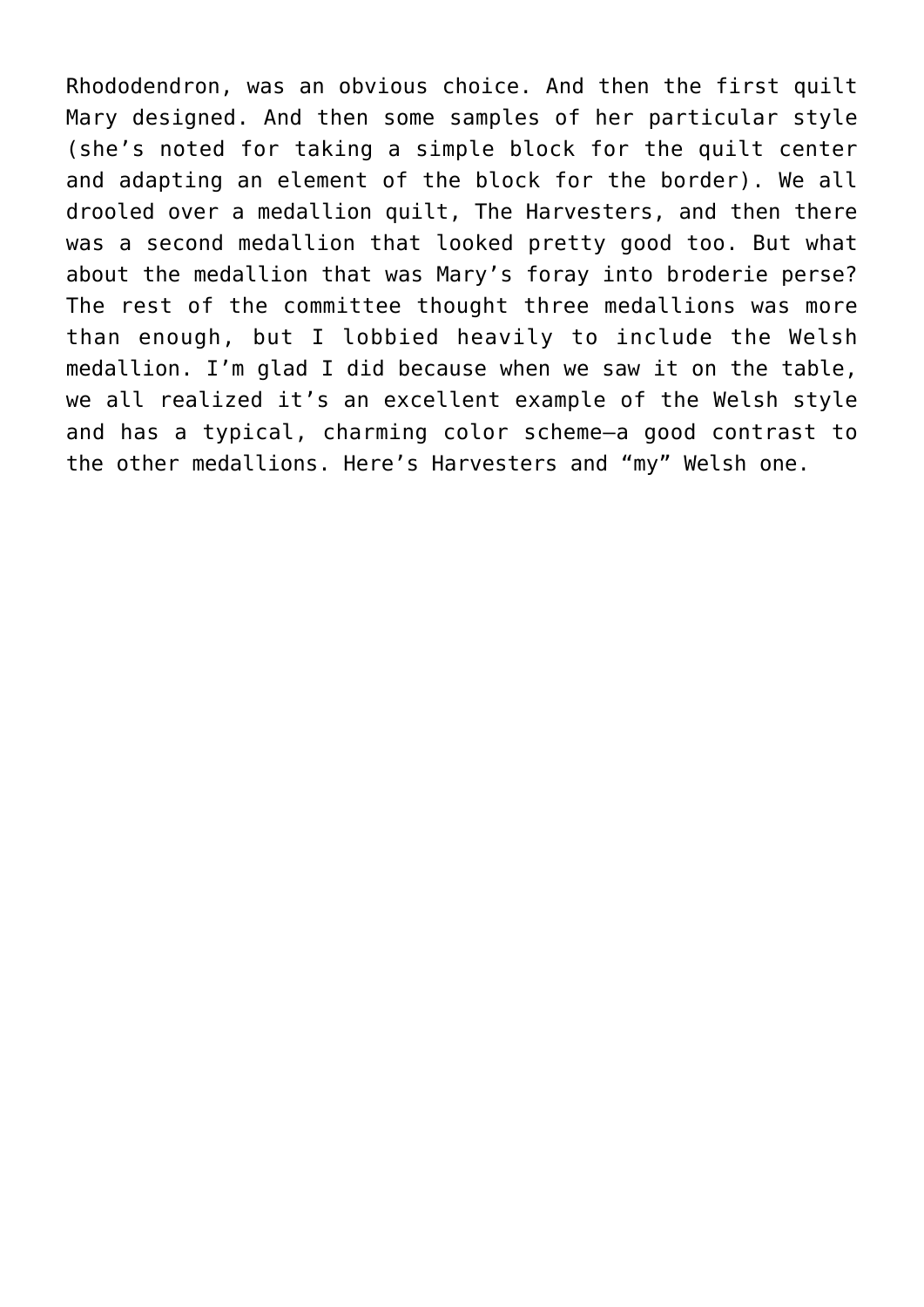Rhododendron, was an obvious choice. And then the first quilt Mary designed. And then some samples of her particular style (she's noted for taking a simple block for the quilt center and adapting an element of the block for the border). We all drooled over a medallion quilt, The Harvesters, and then there was a second medallion that looked pretty good too. But what about the medallion that was Mary's foray into broderie perse? The rest of the committee thought three medallions was more than enough, but I lobbied heavily to include the Welsh medallion. I'm glad I did because when we saw it on the table, we all realized it's an excellent example of the Welsh style and has a typical, charming color scheme—a good contrast to the other medallions. Here's Harvesters and "my" Welsh one.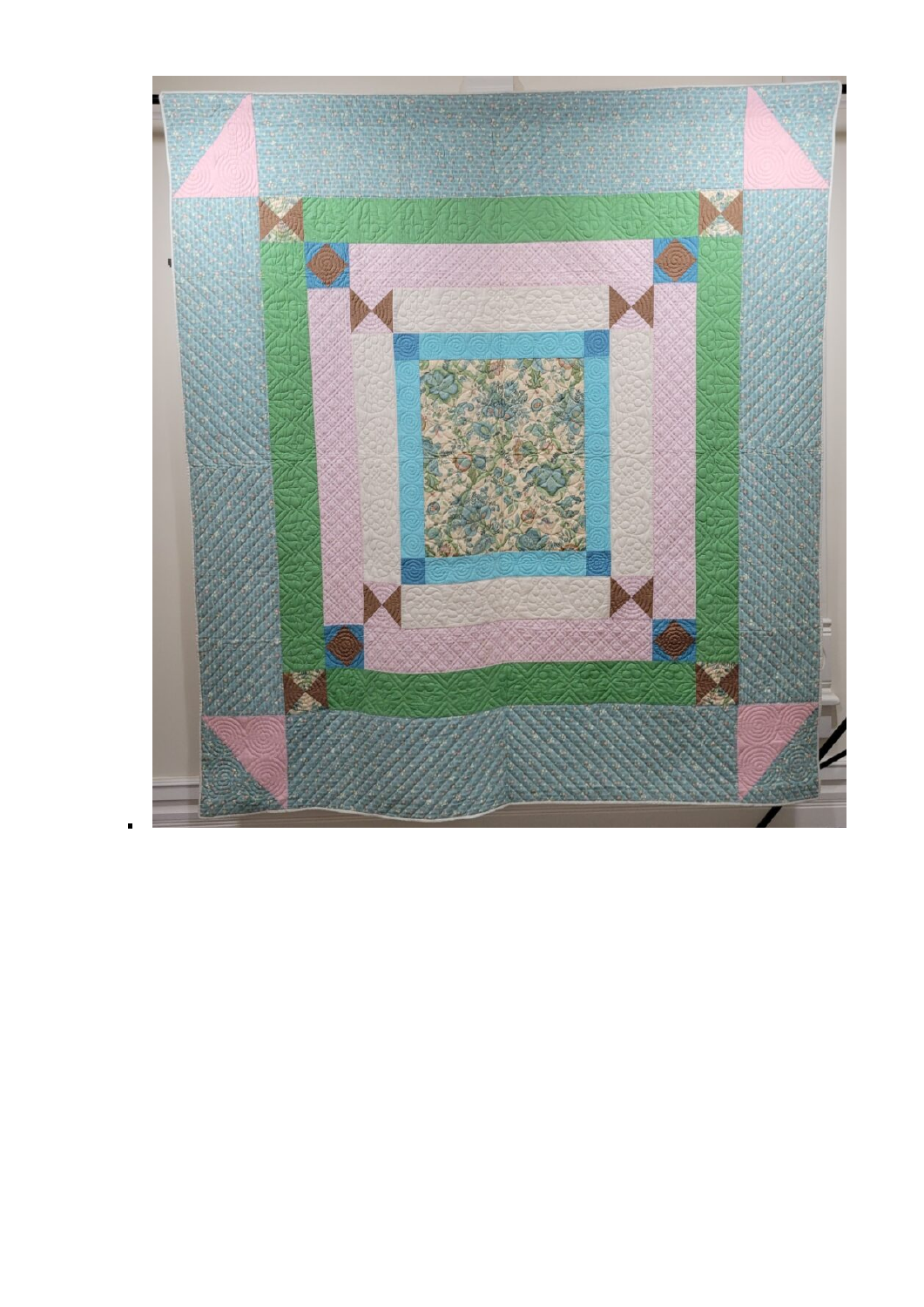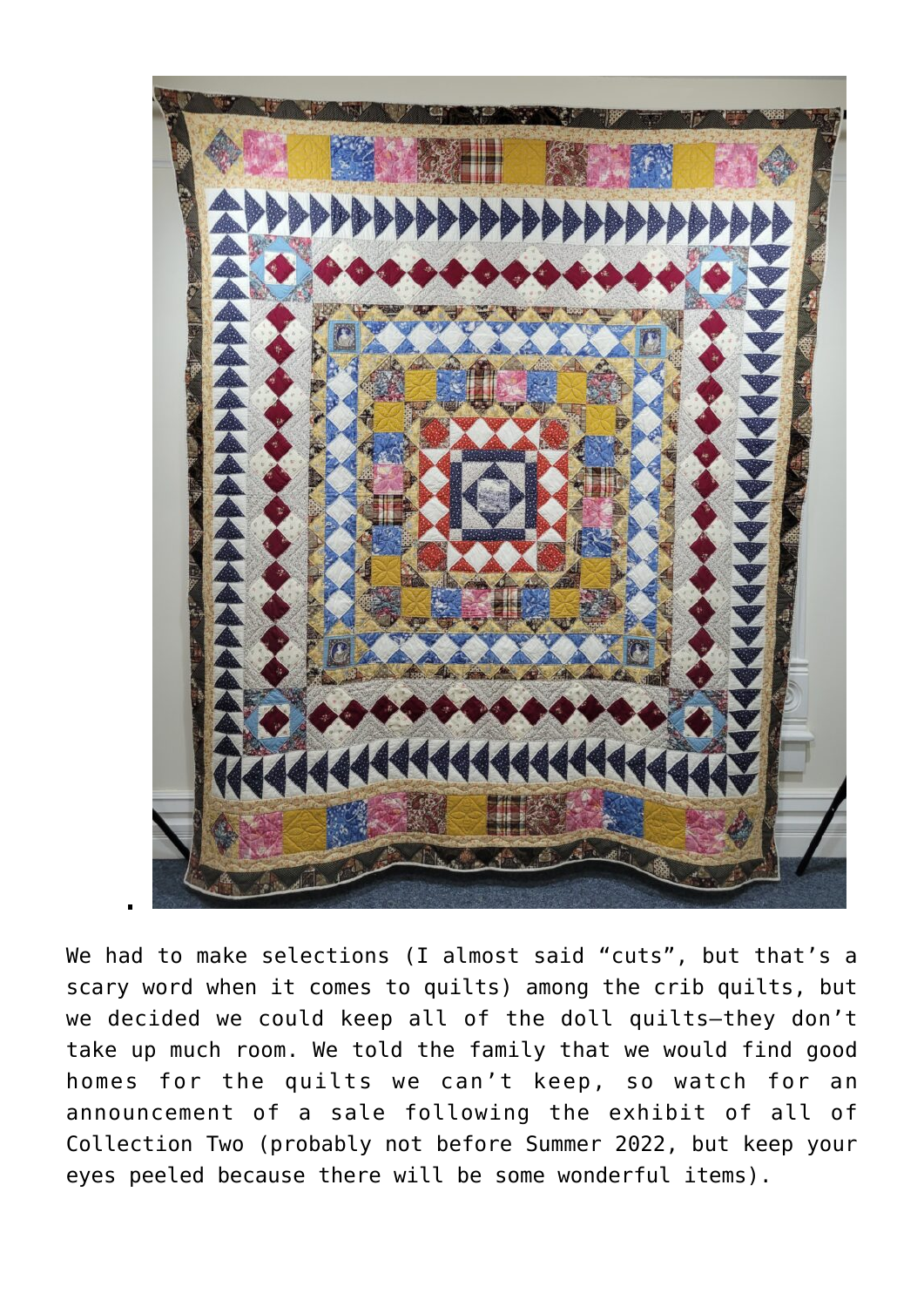

We had to make selections (I almost said "cuts", but that's a scary word when it comes to quilts) among the crib quilts, but we decided we could keep all of the doll quilts—they don't take up much room. We told the family that we would find good homes for the quilts we can't keep, so watch for an announcement of a sale following the exhibit of all of Collection Two (probably not before Summer 2022, but keep your eyes peeled because there will be some wonderful items).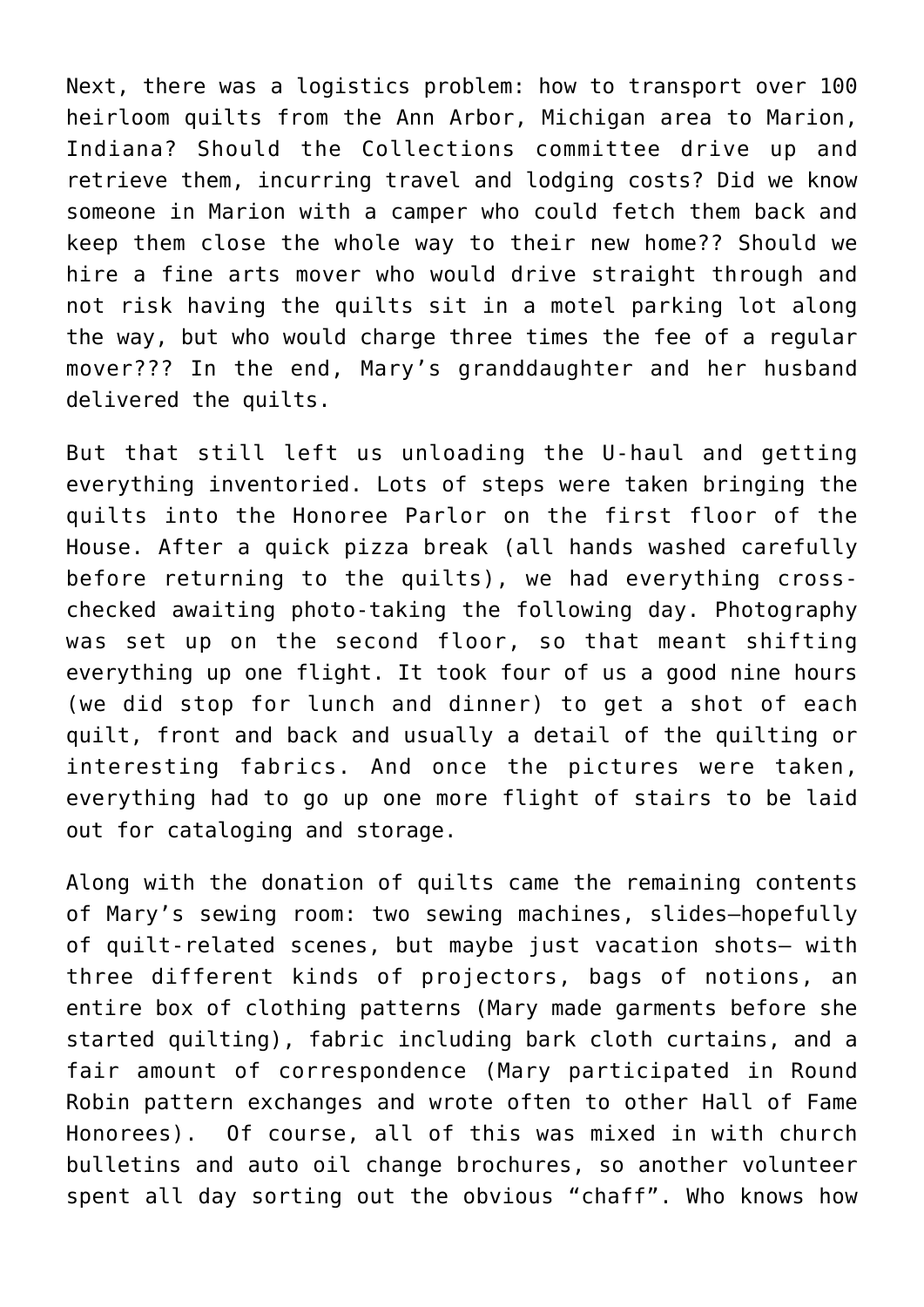Next, there was a logistics problem: how to transport over 100 heirloom quilts from the Ann Arbor, Michigan area to Marion, Indiana? Should the Collections committee drive up and retrieve them, incurring travel and lodging costs? Did we know someone in Marion with a camper who could fetch them back and keep them close the whole way to their new home?? Should we hire a fine arts mover who would drive straight through and not risk having the quilts sit in a motel parking lot along the way, but who would charge three times the fee of a regular mover??? In the end, Mary's granddaughter and her husband delivered the quilts.

But that still left us unloading the U-haul and getting everything inventoried. Lots of steps were taken bringing the quilts into the Honoree Parlor on the first floor of the House. After a quick pizza break (all hands washed carefully before returning to the quilts), we had everything crosschecked awaiting photo-taking the following day. Photography was set up on the second floor, so that meant shifting everything up one flight. It took four of us a good nine hours (we did stop for lunch and dinner) to get a shot of each quilt, front and back and usually a detail of the quilting or interesting fabrics. And once the pictures were taken, everything had to go up one more flight of stairs to be laid out for cataloging and storage.

Along with the donation of quilts came the remaining contents of Mary's sewing room: two sewing machines, slides—hopefully of quilt-related scenes, but maybe just vacation shots– with three different kinds of projectors, bags of notions, an entire box of clothing patterns (Mary made garments before she started quilting), fabric including bark cloth curtains, and a fair amount of correspondence (Mary participated in Round Robin pattern exchanges and wrote often to other Hall of Fame Honorees). Of course, all of this was mixed in with church bulletins and auto oil change brochures, so another volunteer spent all day sorting out the obvious "chaff". Who knows how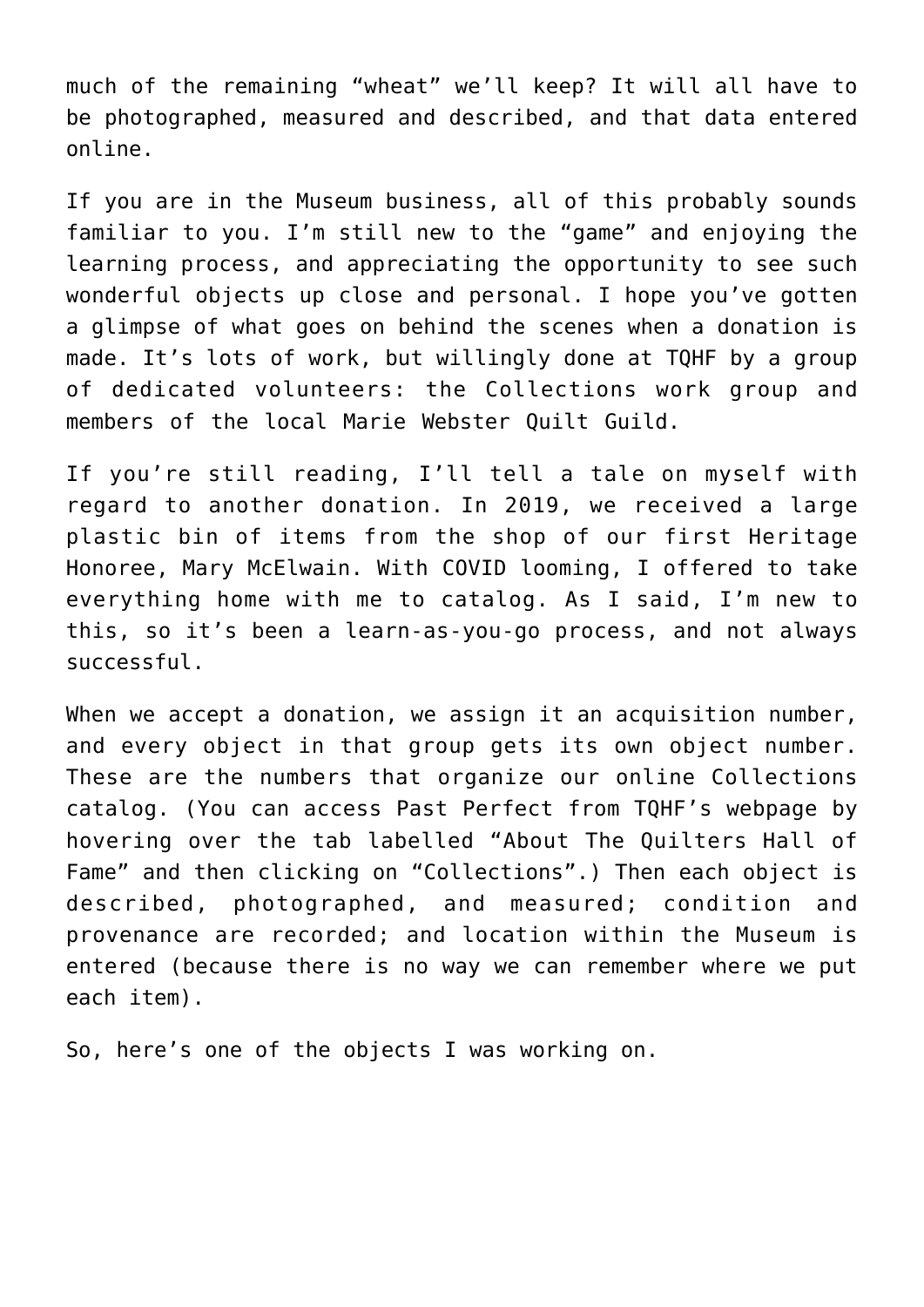much of the remaining "wheat" we'll keep? It will all have to be photographed, measured and described, and that data entered online.

If you are in the Museum business, all of this probably sounds familiar to you. I'm still new to the "game" and enjoying the learning process, and appreciating the opportunity to see such wonderful objects up close and personal. I hope you've gotten a glimpse of what goes on behind the scenes when a donation is made. It's lots of work, but willingly done at TQHF by a group of dedicated volunteers: the Collections work group and members of the local Marie Webster Quilt Guild.

If you're still reading, I'll tell a tale on myself with regard to another donation. In 2019, we received a large plastic bin of items from the shop of our first Heritage Honoree, Mary McElwain. With COVID looming, I offered to take everything home with me to catalog. As I said, I'm new to this, so it's been a learn-as-you-go process, and not always successful.

When we accept a donation, we assign it an acquisition number, and every object in that group gets its own object number. These are the numbers that organize our online Collections catalog. (You can access Past Perfect from TQHF's webpage by hovering over the tab labelled "About The Quilters Hall of Fame" and then clicking on "Collections".) Then each object is described, photographed, and measured; condition and provenance are recorded; and location within the Museum is entered (because there is no way we can remember where we put each item).

So, here's one of the objects I was working on.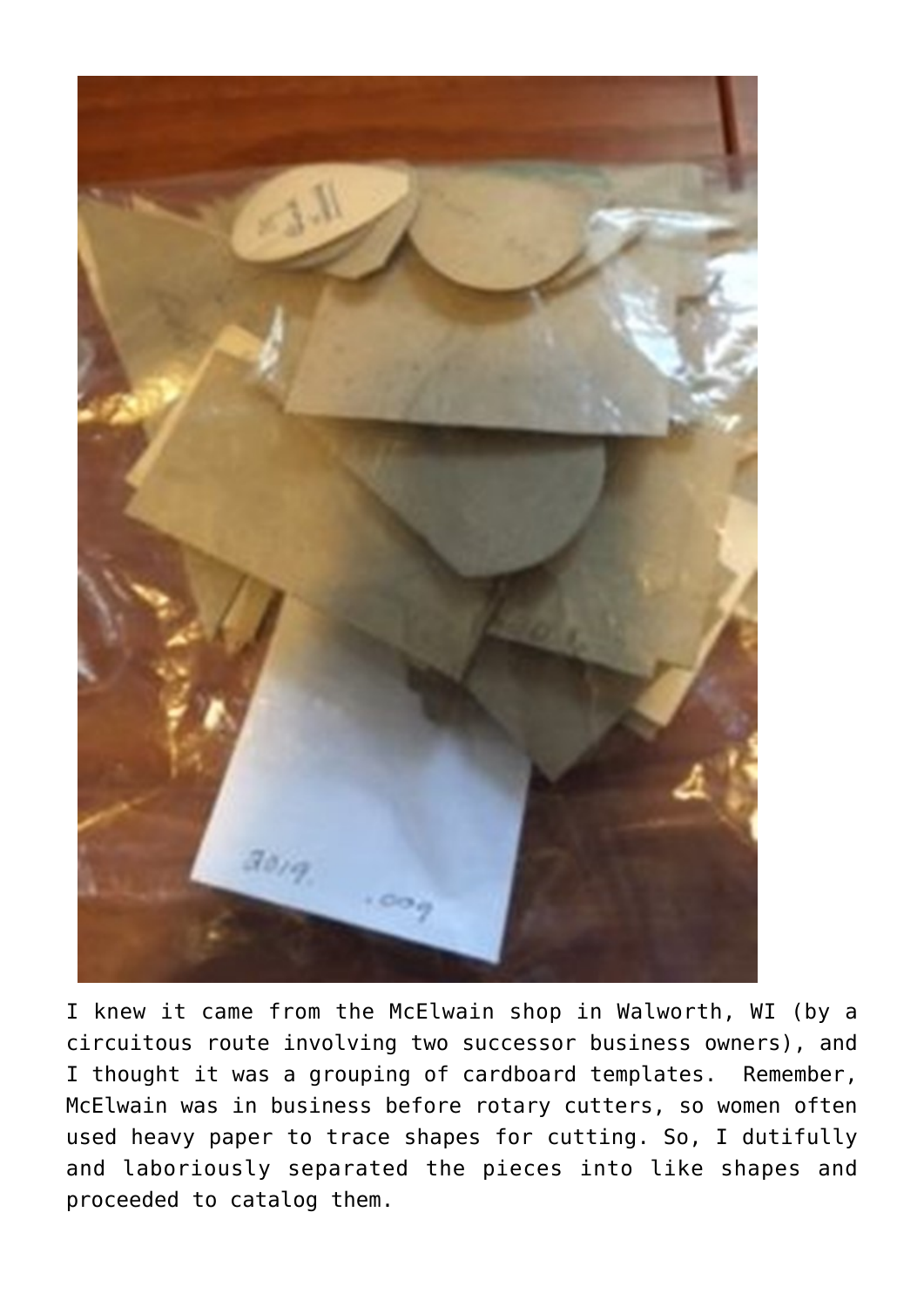

I knew it came from the McElwain shop in Walworth, WI (by a circuitous route involving two successor business owners), and I thought it was a grouping of cardboard templates. Remember, McElwain was in business before rotary cutters, so women often used heavy paper to trace shapes for cutting. So, I dutifully and laboriously separated the pieces into like shapes and proceeded to catalog them.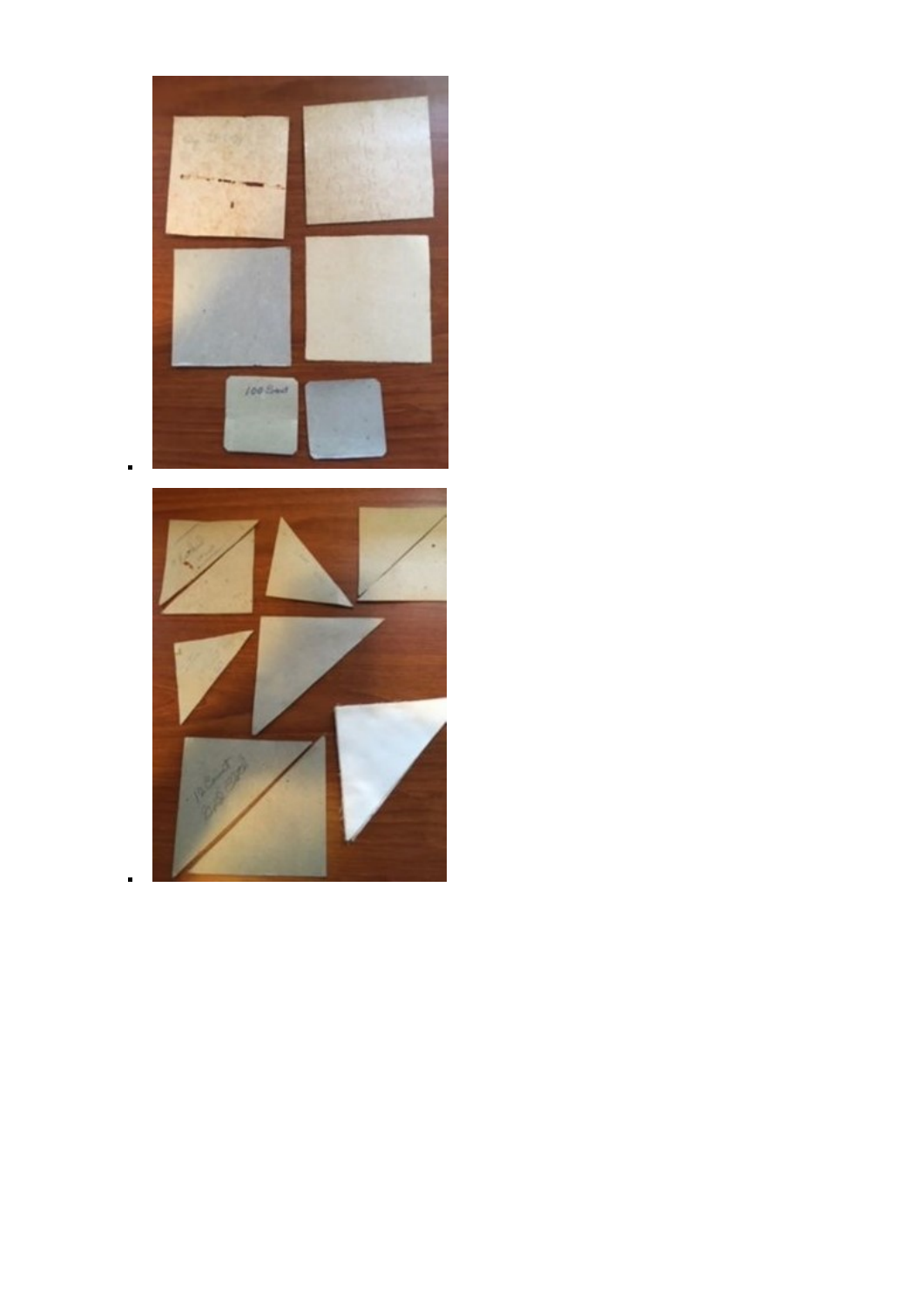

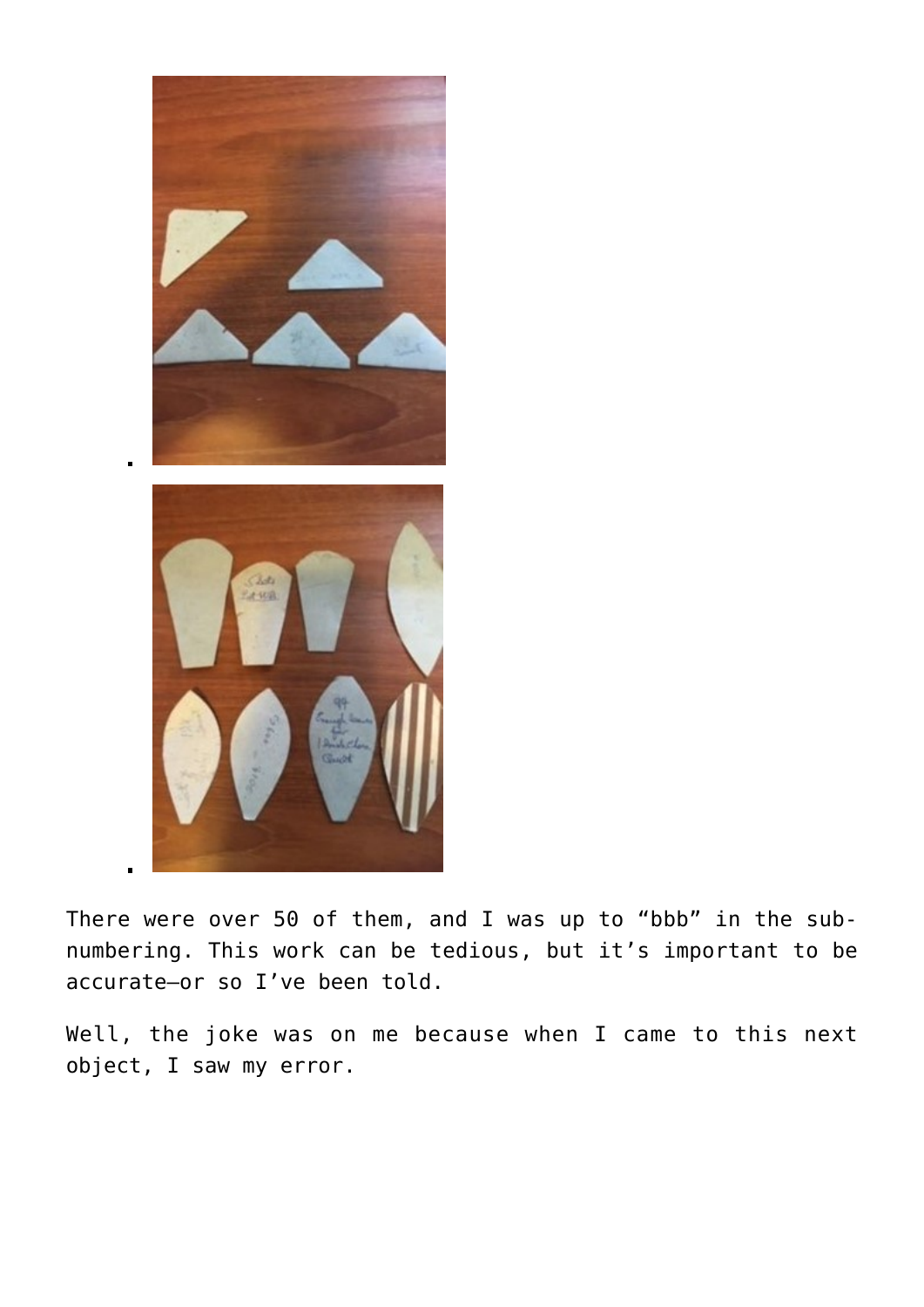

There were over 50 of them, and I was up to "bbb" in the subnumbering. This work can be tedious, but it's important to be accurate—or so I've been told.

Well, the joke was on me because when I came to this next object, I saw my error.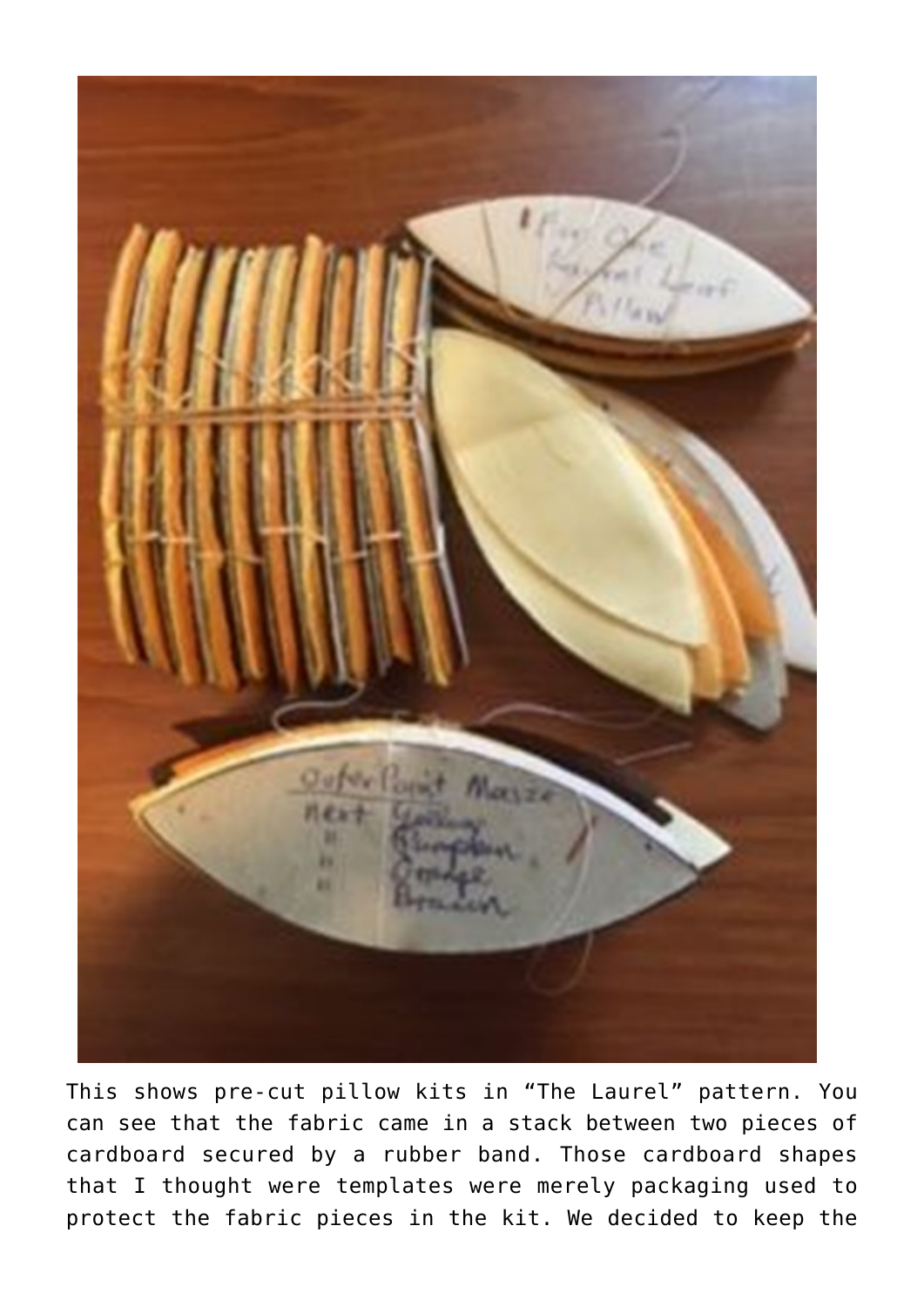

This shows pre-cut pillow kits in "The Laurel" pattern. You can see that the fabric came in a stack between two pieces of cardboard secured by a rubber band. Those cardboard shapes that I thought were templates were merely packaging used to protect the fabric pieces in the kit. We decided to keep the